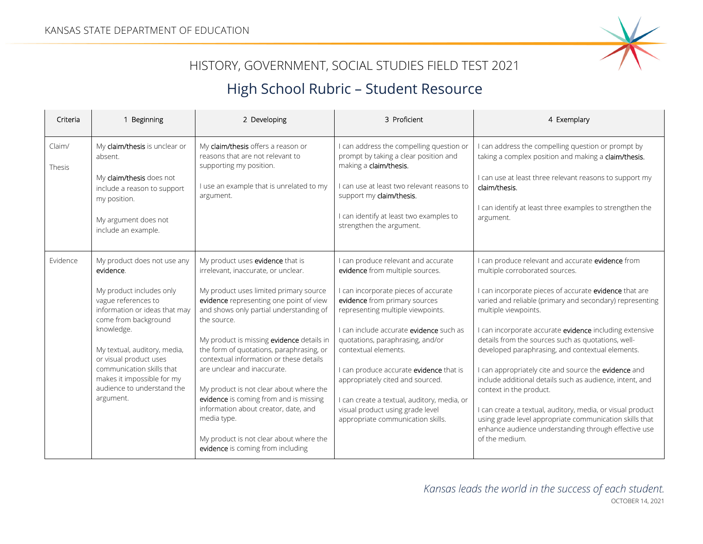

## HISTORY, GOVERNMENT, SOCIAL STUDIES FIELD TEST 2021

## High School Rubric – Student Resource

| Criteria         | Beginning                                                                                                                                                                                                                                                                                                                          | 2 Developing                                                                                                                                                                                                                                                                                                                                                                                                                                                                                                                                                                                                          | 3 Proficient                                                                                                                                                                                                                                                                                                                                                                                                                                                                                       | 4 Exemplary                                                                                                                                                                                                                                                                                                                                                                                                                                                                                                                                                                                                                                                                                                                                              |
|------------------|------------------------------------------------------------------------------------------------------------------------------------------------------------------------------------------------------------------------------------------------------------------------------------------------------------------------------------|-----------------------------------------------------------------------------------------------------------------------------------------------------------------------------------------------------------------------------------------------------------------------------------------------------------------------------------------------------------------------------------------------------------------------------------------------------------------------------------------------------------------------------------------------------------------------------------------------------------------------|----------------------------------------------------------------------------------------------------------------------------------------------------------------------------------------------------------------------------------------------------------------------------------------------------------------------------------------------------------------------------------------------------------------------------------------------------------------------------------------------------|----------------------------------------------------------------------------------------------------------------------------------------------------------------------------------------------------------------------------------------------------------------------------------------------------------------------------------------------------------------------------------------------------------------------------------------------------------------------------------------------------------------------------------------------------------------------------------------------------------------------------------------------------------------------------------------------------------------------------------------------------------|
| Claim/<br>Thesis | My claim/thesis is unclear or<br>absent.<br>My claim/thesis does not<br>include a reason to support<br>my position.<br>My argument does not<br>include an example.                                                                                                                                                                 | My claim/thesis offers a reason or<br>reasons that are not relevant to<br>supporting my position.<br>I use an example that is unrelated to my<br>argument.                                                                                                                                                                                                                                                                                                                                                                                                                                                            | I can address the compelling question or<br>prompt by taking a clear position and<br>making a claim/thesis.<br>I can use at least two relevant reasons to<br>support my claim/thesis.<br>I can identify at least two examples to<br>strengthen the argument.                                                                                                                                                                                                                                       | I can address the compelling question or prompt by<br>taking a complex position and making a claim/thesis.<br>I can use at least three relevant reasons to support my<br>claim/thesis.<br>I can identify at least three examples to strengthen the<br>argument.                                                                                                                                                                                                                                                                                                                                                                                                                                                                                          |
| Evidence         | My product does not use any<br>evidence.<br>My product includes only<br>vague references to<br>information or ideas that may<br>come from background<br>knowledge.<br>My textual, auditory, media,<br>or visual product uses<br>communication skills that<br>makes it impossible for my<br>audience to understand the<br>argument. | My product uses evidence that is<br>irrelevant, inaccurate, or unclear.<br>My product uses limited primary source<br>evidence representing one point of view<br>and shows only partial understanding of<br>the source.<br>My product is missing evidence details in<br>the form of quotations, paraphrasing, or<br>contextual information or these details<br>are unclear and inaccurate.<br>My product is not clear about where the<br>evidence is coming from and is missing<br>information about creator, date, and<br>media type.<br>My product is not clear about where the<br>evidence is coming from including | I can produce relevant and accurate<br>evidence from multiple sources.<br>I can incorporate pieces of accurate<br>evidence from primary sources<br>representing multiple viewpoints.<br>I can include accurate evidence such as<br>quotations, paraphrasing, and/or<br>contextual elements.<br>I can produce accurate evidence that is<br>appropriately cited and sourced.<br>I can create a textual, auditory, media, or<br>visual product using grade level<br>appropriate communication skills. | I can produce relevant and accurate evidence from<br>multiple corroborated sources.<br>I can incorporate pieces of accurate evidence that are<br>varied and reliable (primary and secondary) representing<br>multiple viewpoints.<br>I can incorporate accurate evidence including extensive<br>details from the sources such as quotations, well-<br>developed paraphrasing, and contextual elements.<br>I can appropriately cite and source the evidence and<br>include additional details such as audience, intent, and<br>context in the product.<br>I can create a textual, auditory, media, or visual product<br>using grade level appropriate communication skills that<br>enhance audience understanding through effective use<br>of the medium. |